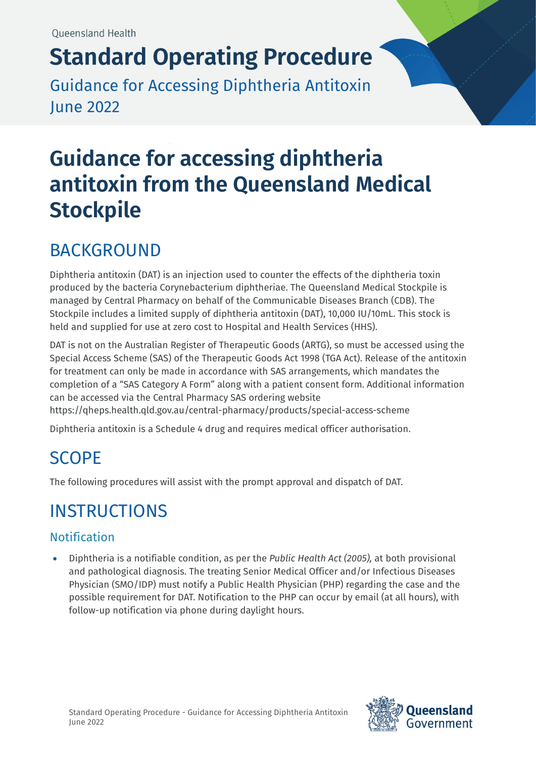# **Standard Operating Procedure**

Guidance for Accessing Diphtheria Antitoxin June 2022

# **Guidance for accessing diphtheria antitoxin from the Queensland Medical Stockpile**

## BACKGROUND

Diphtheria antitoxin (DAT) is an injection used to counter the effects of the diphtheria toxin produced by the bacteria Corynebacterium diphtheriae. The Queensland Medical Stockpile is managed by Central Pharmacy on behalf of the Communicable Diseases Branch (CDB). The Stockpile includes a limited supply of diphtheria antitoxin (DAT), 10,000 IU/10mL. This stock is held and supplied for use at zero cost to Hospital and Health Services (HHS).

DAT is not on the Australian Register of Therapeutic Goods (ARTG), so must be accessed using the Special Access Scheme (SAS) of the Therapeutic Goods Act 1998 (TGA Act). Release of the antitoxin for treatment can only be made in accordance with SAS arrangements, which mandates the completion of a "SAS Category A Form" along with a patient consent form. Additional information can be accessed via the Central Pharmacy SAS ordering website <https://qheps.health.qld.gov.au/central-pharmacy/products/special-access-scheme>

Diphtheria antitoxin is a Schedule 4 drug and requires medical officer authorisation.

# SCOPE

The following procedures will assist with the prompt approval and dispatch of DAT.

# INSTRUCTIONS

### **Notification**

• Diphtheria is a notifiable condition, as per the *Public Health Act (2005),* at both provisional and pathological diagnosis. The treating Senior Medical Officer and/or Infectious Diseases Physician (SMO/IDP) must notify a Public Health Physician (PHP) regarding the case and the possible requirement for DAT. Notification to the PHP can occur by email (at all hours), with follow-up notification via phone during daylight hours.

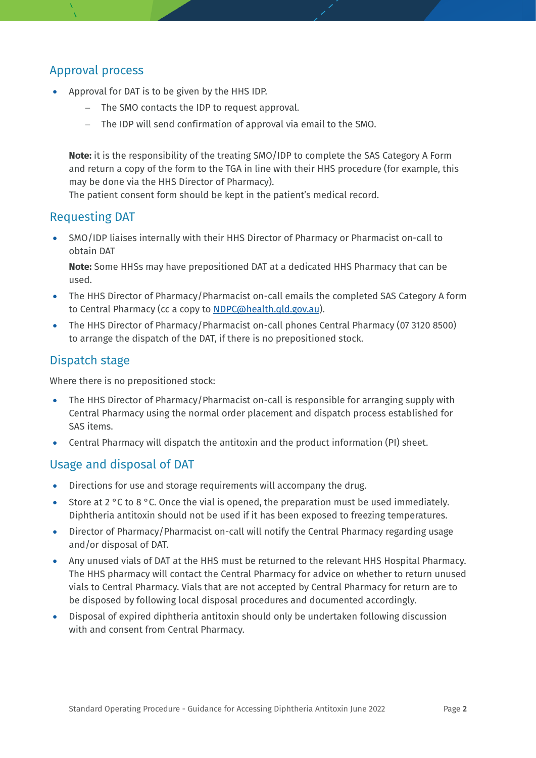#### Approval process

- Approval for DAT is to be given by the HHS IDP.
	- − The SMO contacts the IDP to request approval.
	- − The IDP will send confirmation of approval via email to the SMO.

**Note:** it is the responsibility of the treating SMO/IDP to complete the SAS Category A Form and return a copy of the form to the TGA in line with their HHS procedure (for example, this may be done via the HHS Director of Pharmacy).

The patient consent form should be kept in the patient's medical record.

#### Requesting DAT

• SMO/IDP liaises internally with their HHS Director of Pharmacy or Pharmacist on-call to obtain DAT

**Note:** Some HHSs may have prepositioned DAT at a dedicated HHS Pharmacy that can be used.

- The HHS Director of Pharmacy/Pharmacist on-call emails the completed SAS Category A form to Central Pharmacy (cc a copy to [NDPC@health.qld.gov.au\)](mailto:NDPC@health.qld.gov.au).
- The HHS Director of Pharmacy/Pharmacist on-call phones Central Pharmacy (07 3120 8500) to arrange the dispatch of the DAT, if there is no prepositioned stock.

#### Dispatch stage

Where there is no prepositioned stock:

- The HHS Director of Pharmacy/Pharmacist on-call is responsible for arranging supply with Central Pharmacy using the normal order placement and dispatch process established for SAS items.
- Central Pharmacy will dispatch the antitoxin and the product information (PI) sheet.

#### Usage and disposal of DAT

- Directions for use and storage requirements will accompany the drug.
- Store at 2 °C to 8 °C. Once the vial is opened, the preparation must be used immediately. Diphtheria antitoxin should not be used if it has been exposed to freezing temperatures.
- Director of Pharmacy/Pharmacist on-call will notify the Central Pharmacy regarding usage and/or disposal of DAT.
- Any unused vials of DAT at the HHS must be returned to the relevant HHS Hospital Pharmacy. The HHS pharmacy will contact the Central Pharmacy for advice on whether to return unused vials to Central Pharmacy. Vials that are not accepted by Central Pharmacy for return are to be disposed by following local disposal procedures and documented accordingly.
- Disposal of expired diphtheria antitoxin should only be undertaken following discussion with and consent from Central Pharmacy.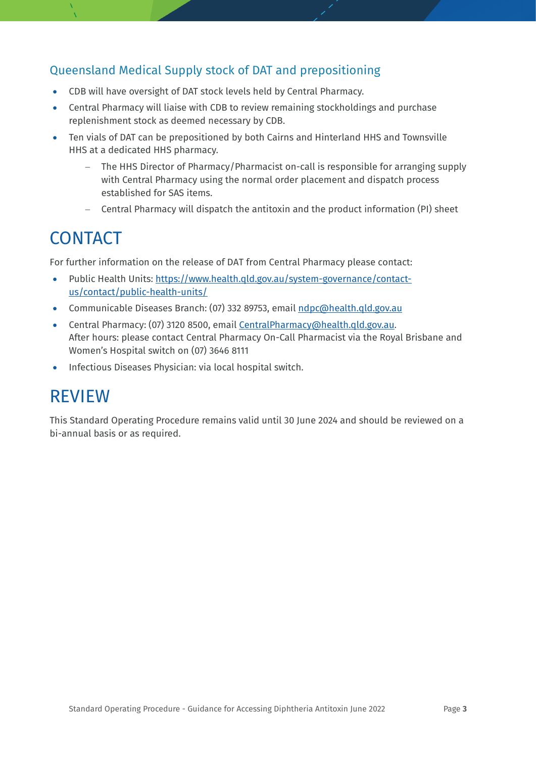#### Queensland Medical Supply stock of DAT and prepositioning

- CDB will have oversight of DAT stock levels held by Central Pharmacy.
- Central Pharmacy will liaise with CDB to review remaining stockholdings and purchase replenishment stock as deemed necessary by CDB.
- Ten vials of DAT can be prepositioned by both Cairns and Hinterland HHS and Townsville HHS at a dedicated HHS pharmacy.
	- − The HHS Director of Pharmacy/Pharmacist on-call is responsible for arranging supply with Central Pharmacy using the normal order placement and dispatch process established for SAS items.
	- − Central Pharmacy will dispatch the antitoxin and the product information (PI) sheet

### **CONTACT**

For further information on the release of DAT from Central Pharmacy please contact:

- Public Health Units: [https://www.health.qld.gov.au/system-governance/contact](https://www.health.qld.gov.au/system-governance/contact-us/contact/public-health-units/)[us/contact/public-health-units/](https://www.health.qld.gov.au/system-governance/contact-us/contact/public-health-units/)
- Communicable Diseases Branch: (07) 332 89753, email ndpc@health.qld.gov.au
- Central Pharmacy: (07) 3120 8500, emai[l CentralPharmacy@health.qld.gov.au.](mailto:CP_CustomerService@health.qld.gov.au) After hours: please contact Central Pharmacy On-Call Pharmacist via the Royal Brisbane and Women's Hospital switch on (07) 3646 8111
- Infectious Diseases Physician: via local hospital switch.

### REVIEW

This Standard Operating Procedure remains valid until 30 June 2024 and should be reviewed on a bi-annual basis or as required.